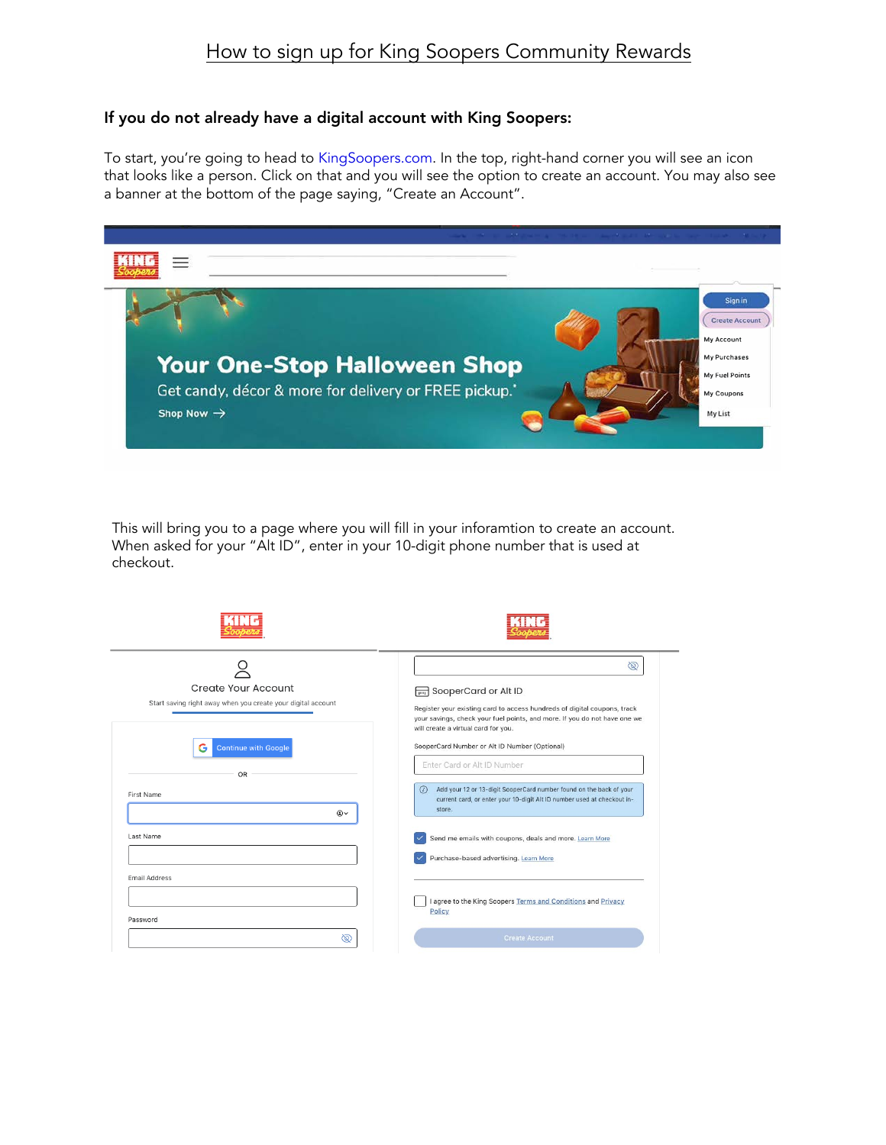## How to sign up for King Soopers Community Rewards

## If you do not already have a digital account with King Soopers:

To start, you're going to head to [KingSoopers.com.](www.KingSoopers.com) In the top, right-hand corner you will see an icon that looks like a person. Click on that and you will see the option to create an account. You may also see a banner at the bottom of the page saying, "Create an Account".



This will bring you to a page where you will fill in your inforamtion to create an account. When asked for your "Alt ID", enter in your 10-digit phone number that is used at checkout.

|                                                                                     | 6                                                                                                                                                                                                                                                    |  |
|-------------------------------------------------------------------------------------|------------------------------------------------------------------------------------------------------------------------------------------------------------------------------------------------------------------------------------------------------|--|
| Create Your Account<br>Start saving right away when you create your digital account | SooperCard or Alt ID<br>Register your existing card to access hundreds of digital coupons, track<br>your savings, check your fuel points, and more. If you do not have one we<br>will create a virtual card for you.                                 |  |
| <b>Continue with Google</b><br>G<br>OR<br>First Name                                | SooperCard Number or Alt ID Number (Optional)<br>Enter Card or Alt ID Number<br>Add your 12 or 13-digit SooperCard number found on the back of your<br>$\omega$<br>current card, or enter your 10-digit Alt ID number used at checkout in-<br>store. |  |
| √۩<br>Last Name                                                                     | Send me emails with coupons, deals and more. Learn More<br>Purchase-based advertising. Learn More                                                                                                                                                    |  |
| Email Address                                                                       | I agree to the King Soopers Terms and Conditions and Privacy<br>Policy                                                                                                                                                                               |  |
| Password<br>∖®                                                                      | <b>Create Account</b>                                                                                                                                                                                                                                |  |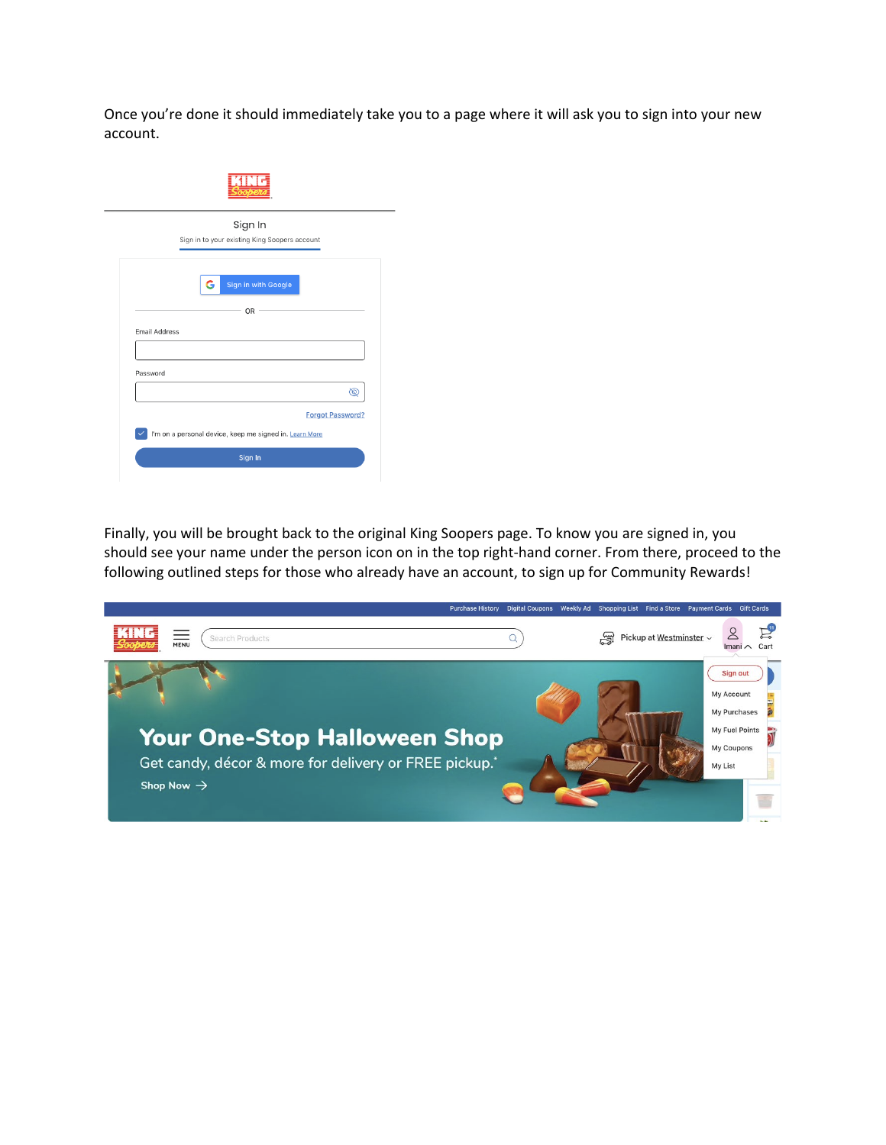Once you're done it should immediately take you to a page where it will ask you to sign into your new account.

|                      | Sign In<br>Sign in to your existing King Soopers account |
|----------------------|----------------------------------------------------------|
|                      | G<br>Sign in with Google                                 |
|                      | <b>OR</b>                                                |
| <b>Email Address</b> |                                                          |
|                      |                                                          |
| Password             | ®                                                        |
|                      |                                                          |

Finally, you will be brought back to the original King Soopers page. To know you are signed in, you should see your name under the person icon on in the top right-hand corner. From there, proceed to the following outlined steps for those who already have an account, to sign up for Community Rewards!

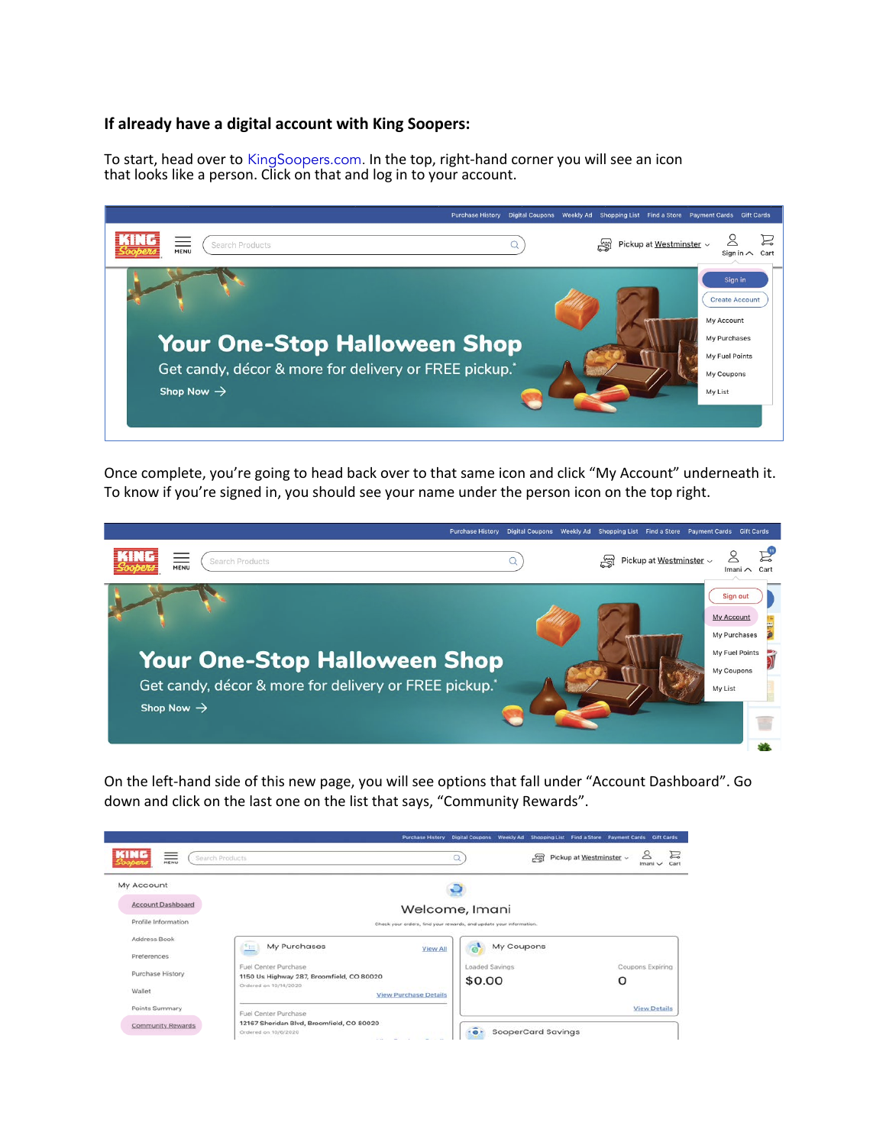## **If already have a digital account with King Soopers:**

To start, head over to [KingSoopers.com.](www.KingSoopers.com) In the top, right-hand corner you will see an icon that looks like a person. Click on that and log in to your account.



Once complete, you're going to head back over to that same icon and click "My Account" underneath it. To know if you're signed in, you should see your name under the person icon on the top right.



On the left-hand side of this new page, you will see options that fall under "Account Dashboard". Go down and click on the last one on the list that says, "Community Rewards".

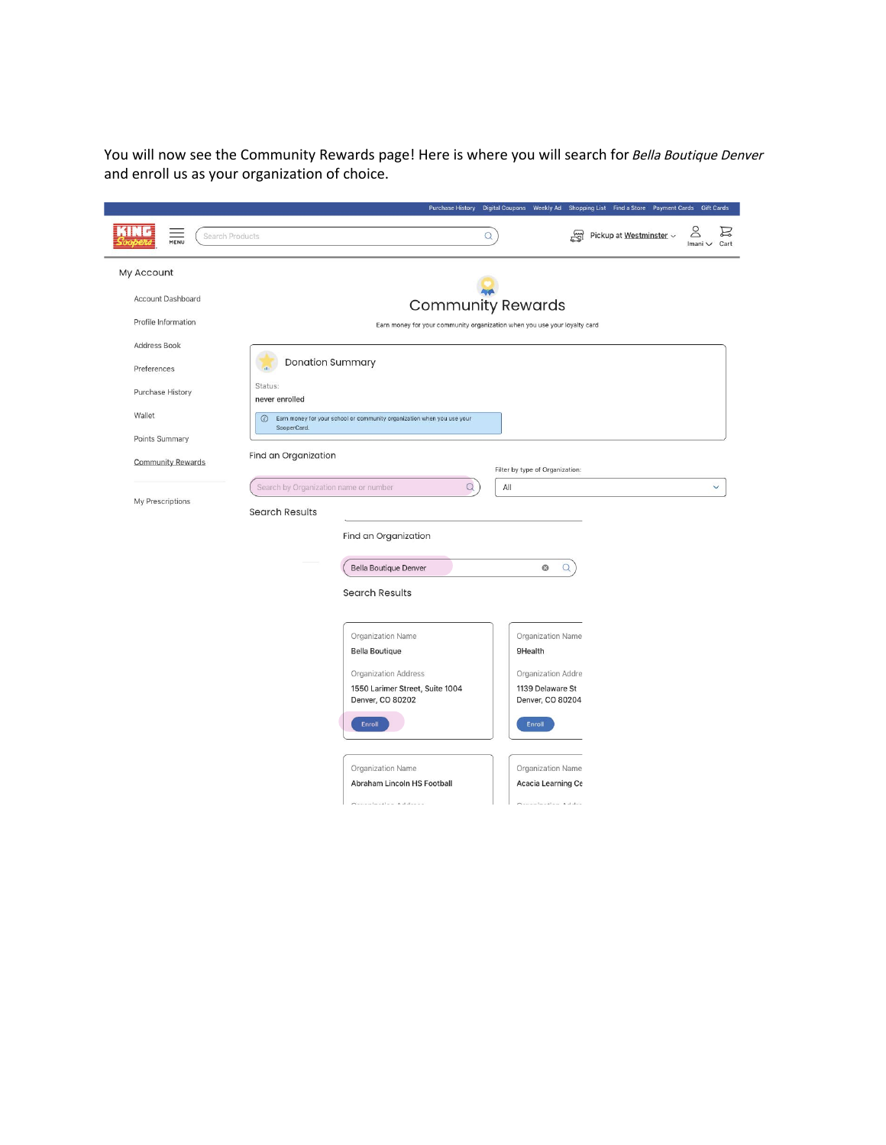You will now see the Community Rewards page! Here is where you will search for Bella Boutique Denver and enroll us as your organization of choice.

|                          | Purchase History Digital Coupons Weekly Ad Shopping List Find a Store Payment Cards Gift Cards   |  |  |
|--------------------------|--------------------------------------------------------------------------------------------------|--|--|
| Search Products<br>MENU  | $\infty$<br>e<br>명<br>Pickup at Westminster ~<br>$\alpha$<br>Imani $\vee$<br>Cart                |  |  |
| My Account               |                                                                                                  |  |  |
| Account Dashboard        | <b>Community Rewards</b>                                                                         |  |  |
| Profile Information      | Earn money for your community organization when you use your loyalty card                        |  |  |
| Address Book             |                                                                                                  |  |  |
| Preferences              | <b>Donation Summary</b>                                                                          |  |  |
| Purchase History         | Status:<br>never enrolled                                                                        |  |  |
| Wallet                   | $\odot$<br>Earn money for your school or community organization when you use your<br>SooperCard. |  |  |
| Points Summary           |                                                                                                  |  |  |
| <b>Community Rewards</b> | Find an Organization<br>Filter by type of Organization:                                          |  |  |
| My Prescriptions         | $\alpha$<br>All<br>Search by Organization name or number                                         |  |  |
|                          | <b>Search Results</b>                                                                            |  |  |
|                          | Find an Organization                                                                             |  |  |
|                          | <b>Bella Boutique Denver</b><br>$\Omega$<br>O                                                    |  |  |
|                          | <b>Search Results</b>                                                                            |  |  |
|                          | Organization Name<br>Organization Name                                                           |  |  |
|                          | <b>Bella Boutique</b><br>9Health                                                                 |  |  |
|                          | <b>Organization Address</b><br>Organization Addre                                                |  |  |
|                          | 1550 Larimer Street, Suite 1004<br>1139 Delaware St<br>Denver, CO 80202<br>Denver, CO 80204      |  |  |
|                          | Enroll<br>Enroll                                                                                 |  |  |
|                          |                                                                                                  |  |  |
|                          | Organization Name<br>Organization Name<br>Abraham Lincoln HS Football                            |  |  |
|                          | Acacia Learning Ce<br>Opportunities Address<br>Opportunities Address                             |  |  |